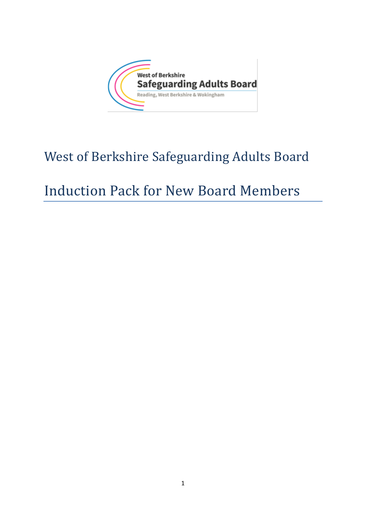

# West of Berkshire Safeguarding Adults Board

# Induction Pack for New Board Members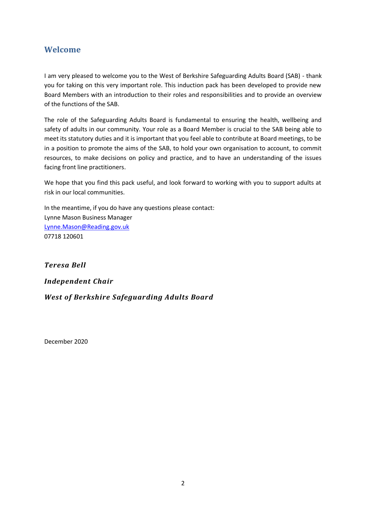## **Welcome**

I am very pleased to welcome you to the West of Berkshire Safeguarding Adults Board (SAB) - thank you for taking on this very important role. This induction pack has been developed to provide new Board Members with an introduction to their roles and responsibilities and to provide an overview of the functions of the SAB.

The role of the Safeguarding Adults Board is fundamental to ensuring the health, wellbeing and safety of adults in our community. Your role as a Board Member is crucial to the SAB being able to meet its statutory duties and it is important that you feel able to contribute at Board meetings, to be in a position to promote the aims of the SAB, to hold your own organisation to account, to commit resources, to make decisions on policy and practice, and to have an understanding of the issues facing front line practitioners.

We hope that you find this pack useful, and look forward to working with you to support adults at risk in our local communities.

In the meantime, if you do have any questions please contact: Lynne Mason Business Manager [Lynne.Mason@Reading.gov.uk](mailto:Lynne.Mason@Reading.gov.uk) 07718 120601

*Teresa Bell Independent Chair*

*West of Berkshire Safeguarding Adults Board*

December 2020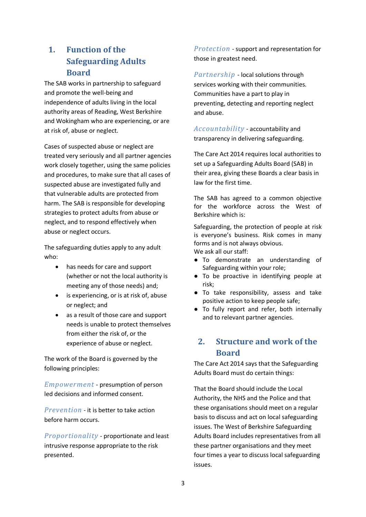# **1. Function of the Safeguarding Adults Board**

The SAB works in partnership to safeguard and promote the well-being and independence of adults living in the local authority areas of Reading, West Berkshire and Wokingham who are experiencing, or are at risk of, abuse or neglect.

Cases of suspected abuse or neglect are treated very seriously and all partner agencies work closely together, using the same policies and procedures, to make sure that all cases of suspected abuse are investigated fully and that vulnerable adults are protected from harm. The SAB is responsible for developing strategies to protect adults from abuse or neglect, and to respond effectively when abuse or neglect occurs.

The safeguarding duties apply to any adult who:

- has needs for care and support (whether or not the local authority is meeting any of those needs) and;
- is experiencing, or is at risk of, abuse or neglect; and
- as a result of those care and support needs is unable to protect themselves from either the risk of, or the experience of abuse or neglect.

The work of the Board is governed by the following principles:

*Empowerment* - presumption of person led decisions and informed consent.

*Prevention* - it is better to take action before harm occurs.

*Proportionality* - proportionate and least intrusive response appropriate to the risk presented.

*Protection* - support and representation for those in greatest need.

*Partnership* - local solutions through services working with their communities. Communities have a part to play in preventing, detecting and reporting neglect and abuse.

*Accountability* - accountability and transparency in delivering safeguarding.

The Care Act 2014 requires local authorities to set up a Safeguarding Adults Board (SAB) in their area, giving these Boards a clear basis in law for the first time.

The SAB has agreed to a common objective for the workforce across the West of Berkshire which is:

Safeguarding, the protection of people at risk is everyone's business. Risk comes in many forms and is not always obvious. We ask all our staff:

- To demonstrate an understanding of Safeguarding within your role;
- To be proactive in identifying people at risk;
- To take responsibility, assess and take positive action to keep people safe;
- To fully report and refer, both internally and to relevant partner agencies.

## **2. Structure and work of the Board**

The Care Act 2014 says that the Safeguarding Adults Board must do certain things:

That the Board should include the Local Authority, the NHS and the Police and that these organisations should meet on a regular basis to discuss and act on local safeguarding issues. The West of Berkshire Safeguarding Adults Board includes representatives from all these partner organisations and they meet four times a year to discuss local safeguarding issues.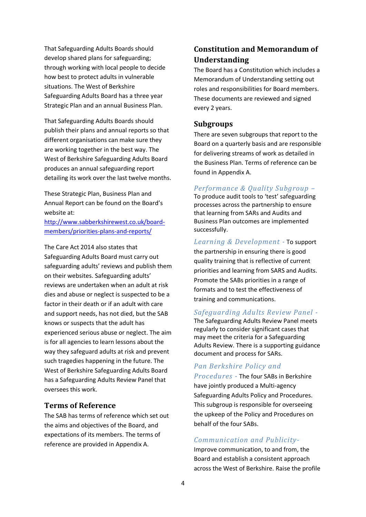That Safeguarding Adults Boards should develop shared plans for safeguarding; through working with local people to decide how best to protect adults in vulnerable situations. The West of Berkshire Safeguarding Adults Board has a three year Strategic Plan and an annual Business Plan.

That Safeguarding Adults Boards should publish their plans and annual reports so that different organisations can make sure they are working together in the best way. The West of Berkshire Safeguarding Adults Board produces an annual safeguarding report detailing its work over the last twelve months.

These Strategic Plan, Business Plan and Annual Report can be found on the Board's website at:

[http://www.sabberkshirewest.co.uk/board](http://www.sabberkshirewest.co.uk/board-members/priorities-plans-and-reports/)[members/priorities-plans-and-reports/](http://www.sabberkshirewest.co.uk/board-members/priorities-plans-and-reports/)

The Care Act 2014 also states that Safeguarding Adults Board must carry out safeguarding adults' reviews and publish them on their websites. Safeguarding adults' reviews are undertaken when an adult at risk dies and abuse or neglect is suspected to be a factor in their death or if an adult with care and support needs, has not died, but the SAB knows or suspects that the adult has experienced serious abuse or neglect. The aim is for all agencies to learn lessons about the way they safeguard adults at risk and prevent such tragedies happening in the future. The West of Berkshire Safeguarding Adults Board has a Safeguarding Adults Review Panel that oversees this work.

## **Terms of Reference**

The SAB has terms of reference which set out the aims and objectives of the Board, and expectations of its members. The terms of reference are provided in Appendix A.

# **Constitution and Memorandum of Understanding**

The Board has a Constitution which includes a Memorandum of Understanding setting out roles and responsibilities for Board members. These documents are reviewed and signed every 2 years.

#### **Subgroups**

There are seven subgroups that report to the Board on a quarterly basis and are responsible for delivering streams of work as detailed in the Business Plan. Terms of reference can be found in Appendix A.

#### *Performance & Quality Subgroup –*

To produce audit tools to 'test' safeguarding processes across the partnership to ensure that learning from SARs and Audits and Business Plan outcomes are implemented successfully.

*Learning & Development -* To support the partnership in ensuring there is good quality training that is reflective of current priorities and learning from SARS and Audits. Promote the SABs priorities in a range of formats and to test the effectiveness of training and communications.

#### *Safeguarding Adults Review Panel -*

The Safeguarding Adults Review Panel meets regularly to consider significant cases that may meet the criteria for a Safeguarding Adults Review. There is a supporting guidance document and process for SARs.

## *Pan Berkshire Policy and*

*Procedures -* The four SABs in Berkshire have jointly produced a Multi-agency Safeguarding Adults Policy and Procedures. This subgroup is responsible for overseeing the upkeep of the Policy and Procedures on behalf of the four SABs.

## *Communication and Publicity-*

Improve communication, to and from, the Board and establish a consistent approach across the West of Berkshire. Raise the profile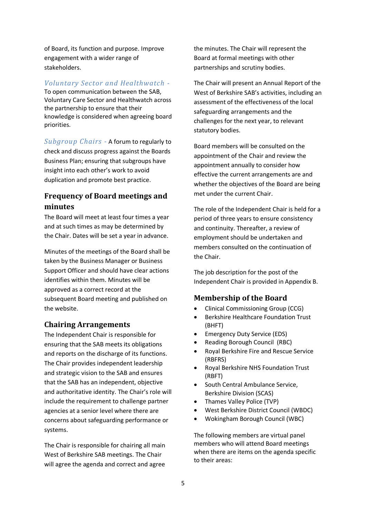of Board, its function and purpose. Improve engagement with a wider range of stakeholders.

*Voluntary Sector and Healthwatch -*

To open communication between the SAB, Voluntary Care Sector and Healthwatch across the partnership to ensure that their knowledge is considered when agreeing board priorities.

*Subgroup Chairs -* A forum to regularly to check and discuss progress against the Boards Business Plan; ensuring that subgroups have insight into each other's work to avoid duplication and promote best practice.

## **Frequency of Board meetings and minutes**

The Board will meet at least four times a year and at such times as may be determined by the Chair. Dates will be set a year in advance.

Minutes of the meetings of the Board shall be taken by the Business Manager or Business Support Officer and should have clear actions identifies within them. Minutes will be approved as a correct record at the subsequent Board meeting and published on the website.

## **Chairing Arrangements**

The Independent Chair is responsible for ensuring that the SAB meets its obligations and reports on the discharge of its functions. The Chair provides independent leadership and strategic vision to the SAB and ensures that the SAB has an independent, objective and authoritative identity. The Chair's role will include the requirement to challenge partner agencies at a senior level where there are concerns about safeguarding performance or systems.

The Chair is responsible for chairing all main West of Berkshire SAB meetings. The Chair will agree the agenda and correct and agree

the minutes. The Chair will represent the Board at formal meetings with other partnerships and scrutiny bodies.

The Chair will present an Annual Report of the West of Berkshire SAB's activities, including an assessment of the effectiveness of the local safeguarding arrangements and the challenges for the next year, to relevant statutory bodies.

Board members will be consulted on the appointment of the Chair and review the appointment annually to consider how effective the current arrangements are and whether the objectives of the Board are being met under the current Chair.

The role of the Independent Chair is held for a period of three years to ensure consistency and continuity. Thereafter, a review of employment should be undertaken and members consulted on the continuation of the Chair.

The job description for the post of the Independent Chair is provided in Appendix B.

## **Membership of the Board**

- Clinical Commissioning Group (CCG)
- Berkshire Healthcare Foundation Trust (BHFT)
- Emergency Duty Service (EDS)
- Reading Borough Council (RBC)
- Royal Berkshire Fire and Rescue Service (RBFRS)
- Royal Berkshire NHS Foundation Trust (RBFT)
- South Central Ambulance Service, Berkshire Division (SCAS)
- Thames Valley Police (TVP)
- West Berkshire District Council (WBDC)
- Wokingham Borough Council (WBC)

The following members are virtual panel members who will attend Board meetings when there are items on the agenda specific to their areas: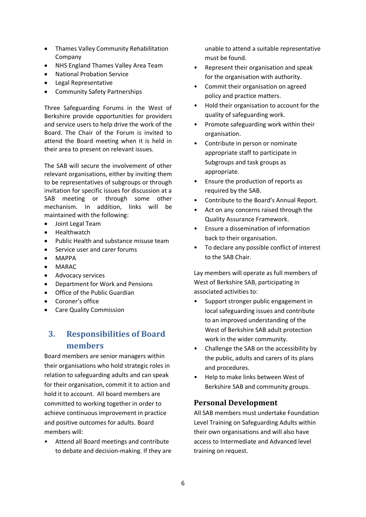- Thames Valley Community Rehabilitation Company
- NHS England Thames Valley Area Team
- National Probation Service
- Legal Representative
- Community Safety Partnerships

Three Safeguarding Forums in the West of Berkshire provide opportunities for providers and service users to help drive the work of the Board. The Chair of the Forum is invited to attend the Board meeting when it is held in their area to present on relevant issues.

The SAB will secure the involvement of other relevant organisations, either by inviting them to be representatives of subgroups or through invitation for specific issues for discussion at a SAB meeting or through some other mechanism. In addition, links will be maintained with the following:

- Joint Legal Team
- **Healthwatch**
- Public Health and substance misuse team
- Service user and carer forums
- MAPPA
- MARAC
- Advocacy services
- Department for Work and Pensions
- Office of the Public Guardian
- Coroner's office
- Care Quality Commission

## **3. Responsibilities of Board members**

Board members are senior managers within their organisations who hold strategic roles in relation to safeguarding adults and can speak for their organisation, commit it to action and hold it to account. All board members are committed to working together in order to achieve continuous improvement in practice and positive outcomes for adults. Board members will:

• Attend all Board meetings and contribute to debate and decision-making. If they are unable to attend a suitable representative must be found.

- Represent their organisation and speak for the organisation with authority.
- Commit their organisation on agreed policy and practice matters.
- Hold their organisation to account for the quality of safeguarding work.
- Promote safeguarding work within their organisation.
- Contribute in person or nominate appropriate staff to participate in Subgroups and task groups as appropriate.
- Ensure the production of reports as required by the SAB.
- Contribute to the Board's Annual Report.
- Act on any concerns raised through the Quality Assurance Framework.
- Ensure a dissemination of information back to their organisation.
- To declare any possible conflict of interest to the SAB Chair.

Lay members will operate as full members of West of Berkshire SAB, participating in associated activities to:

- Support stronger public engagement in local safeguarding issues and contribute to an improved understanding of the West of Berkshire SAB adult protection work in the wider community.
- Challenge the SAB on the accessibility by the public, adults and carers of its plans and procedures.
- Help to make links between West of Berkshire SAB and community groups.

## **Personal Development**

All SAB members must undertake Foundation Level Training on Safeguarding Adults within their own organisations and will also have access to Intermediate and Advanced level training on request.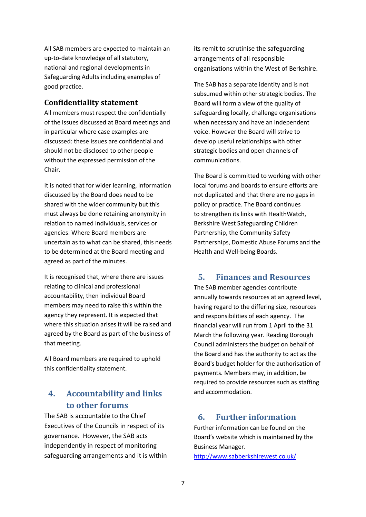All SAB members are expected to maintain an up-to-date knowledge of all statutory, national and regional developments in Safeguarding Adults including examples of good practice.

## **Confidentiality statement**

All members must respect the confidentially of the issues discussed at Board meetings and in particular where case examples are discussed: these issues are confidential and should not be disclosed to other people without the expressed permission of the Chair.

It is noted that for wider learning, information discussed by the Board does need to be shared with the wider community but this must always be done retaining anonymity in relation to named individuals, services or agencies. Where Board members are uncertain as to what can be shared, this needs to be determined at the Board meeting and agreed as part of the minutes.

It is recognised that, where there are issues relating to clinical and professional accountability, then individual Board members may need to raise this within the agency they represent. It is expected that where this situation arises it will be raised and agreed by the Board as part of the business of that meeting.

All Board members are required to uphold this confidentiality statement.

# **4. Accountability and links to other forums**

The SAB is accountable to the Chief Executives of the Councils in respect of its governance. However, the SAB acts independently in respect of monitoring safeguarding arrangements and it is within its remit to scrutinise the safeguarding arrangements of all responsible organisations within the West of Berkshire.

The SAB has a separate identity and is not subsumed within other strategic bodies. The Board will form a view of the quality of safeguarding locally, challenge organisations when necessary and have an independent voice. However the Board will strive to develop useful relationships with other strategic bodies and open channels of communications.

The Board is committed to working with other local forums and boards to ensure efforts are not duplicated and that there are no gaps in policy or practice. The Board continues to strengthen its links with HealthWatch, Berkshire West Safeguarding Children Partnership, the Community Safety Partnerships, Domestic Abuse Forums and the Health and Well-being Boards.

## **5. Finances and Resources**

The SAB member agencies contribute annually towards resources at an agreed level, having regard to the differing size, resources and responsibilities of each agency. The financial year will run from 1 April to the 31 March the following year. Reading Borough Council administers the budget on behalf of the Board and has the authority to act as the Board's budget holder for the authorisation of payments. Members may, in addition, be required to provide resources such as staffing and accommodation.

## **6. Further information**

Further information can be found on the Board's website which is maintained by the Business Manager.

<http://www.sabberkshirewest.co.uk/>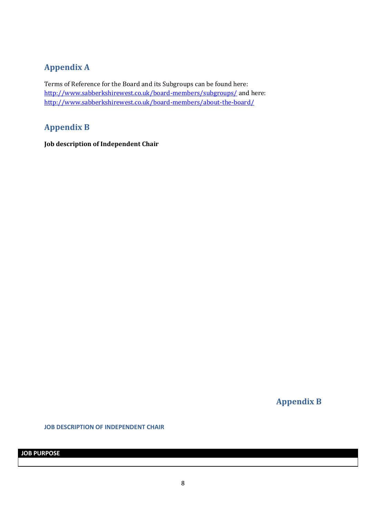# **Appendix A**

Terms of Reference for the Board and its Subgroups can be found here: <http://www.sabberkshirewest.co.uk/board-members/subgroups/> and here: <http://www.sabberkshirewest.co.uk/board-members/about-the-board/>

## **Appendix B**

**Job description of Independent Chair** 

**Appendix B**

**JOB DESCRIPTION OF INDEPENDENT CHAIR**

**JOB PURPOSE**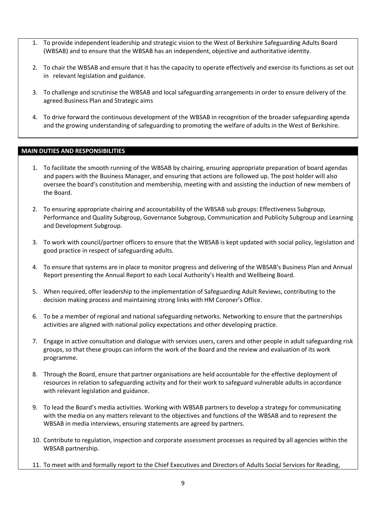- 1. To provide independent leadership and strategic vision to the West of Berkshire Safeguarding Adults Board (WBSAB) and to ensure that the WBSAB has an independent, objective and authoritative identity.
- 2. To chair the WBSAB and ensure that it has the capacity to operate effectively and exercise its functions as set out in relevant legislation and guidance.
- 3. To challenge and scrutinise the WBSAB and local safeguarding arrangements in order to ensure delivery of the agreed Business Plan and Strategic aims
- 4. To drive forward the continuous development of the WBSAB in recognition of the broader safeguarding agenda and the growing understanding of safeguarding to promoting the welfare of adults in the West of Berkshire.

#### **MAIN DUTIES AND RESPONSIBILITIES**

- 1. To facilitate the smooth running of the WBSAB by chairing, ensuring appropriate preparation of board agendas and papers with the Business Manager, and ensuring that actions are followed up. The post holder will also oversee the board's constitution and membership, meeting with and assisting the induction of new members of the Board.
- 2. To ensuring appropriate chairing and accountability of the WBSAB sub groups: Effectiveness Subgroup, Performance and Quality Subgroup, Governance Subgroup, Communication and Publicity Subgroup and Learning and Development Subgroup.
- 3. To work with council/partner officers to ensure that the WBSAB is kept updated with social policy, legislation and good practice in respect of safeguarding adults.
- 4. To ensure that systems are in place to monitor progress and delivering of the WBSAB's Business Plan and Annual Report presenting the Annual Report to each Local Authority's Health and Wellbeing Board.
- 5. When required, offer leadership to the implementation of Safeguarding Adult Reviews, contributing to the decision making process and maintaining strong links with HM Coroner's Office.
- 6. To be a member of regional and national safeguarding networks. Networking to ensure that the partnerships activities are aligned with national policy expectations and other developing practice.
- 7. Engage in active consultation and dialogue with services users, carers and other people in adult safeguarding risk groups, so that these groups can inform the work of the Board and the review and evaluation of its work programme.
- 8. Through the Board, ensure that partner organisations are held accountable for the effective deployment of resources in relation to safeguarding activity and for their work to safeguard vulnerable adults in accordance with relevant legislation and guidance.
- 9. To lead the Board's media activities. Working with WBSAB partners to develop a strategy for communicating with the media on any matters relevant to the objectives and functions of the WBSAB and to represent the WBSAB in media interviews, ensuring statements are agreed by partners.
- 10. Contribute to regulation, inspection and corporate assessment processes as required by all agencies within the WBSAB partnership.
- 11. To meet with and formally report to the Chief Executives and Directors of Adults Social Services for Reading,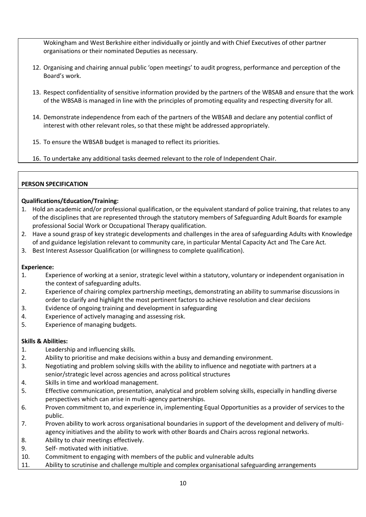Wokingham and West Berkshire either individually or jointly and with Chief Executives of other partner organisations or their nominated Deputies as necessary.

- 12. Organising and chairing annual public 'open meetings' to audit progress, performance and perception of the Board's work.
- 13. Respect confidentiality of sensitive information provided by the partners of the WBSAB and ensure that the work of the WBSAB is managed in line with the principles of promoting equality and respecting diversity for all.
- 14. Demonstrate independence from each of the partners of the WBSAB and declare any potential conflict of interest with other relevant roles, so that these might be addressed appropriately.
- 15. To ensure the WBSAB budget is managed to reflect its priorities.
- 16. To undertake any additional tasks deemed relevant to the role of Independent Chair.

## **PERSON SPECIFICATION**

## **Qualifications/Education/Training:**

- 1. Hold an academic and/or professional qualification, or the equivalent standard of police training, that relates to any of the disciplines that are represented through the statutory members of Safeguarding Adult Boards for example professional Social Work or Occupational Therapy qualification.
- 2. Have a sound grasp of key strategic developments and challenges in the area of safeguarding Adults with Knowledge of and guidance legislation relevant to community care, in particular Mental Capacity Act and The Care Act.
- 3. Best Interest Assessor Qualification (or willingness to complete qualification).

## **Experience:**

- 1. Experience of working at a senior, strategic level within a statutory, voluntary or independent organisation in the context of safeguarding adults.
- 2. Experience of chairing complex partnership meetings, demonstrating an ability to summarise discussions in order to clarify and highlight the most pertinent factors to achieve resolution and clear decisions
- 3. Evidence of ongoing training and development in safeguarding
- 4. Experience of actively managing and assessing risk.
- 5. Experience of managing budgets.

## **Skills & Abilities:**

- 1. Leadership and influencing skills.
- 2. Ability to prioritise and make decisions within a busy and demanding environment.
- 3. Negotiating and problem solving skills with the ability to influence and negotiate with partners at a senior/strategic level across agencies and across political structures
- 4. Skills in time and workload management.
- 5. Effective communication, presentation, analytical and problem solving skills, especially in handling diverse perspectives which can arise in multi-agency partnerships.
- 6. Proven commitment to, and experience in, implementing Equal Opportunities as a provider of services to the public.
- 7. Proven ability to work across organisational boundaries in support of the development and delivery of multiagency initiatives and the ability to work with other Boards and Chairs across regional networks.
- 8. Ability to chair meetings effectively.
- 9. Self- motivated with initiative.
- 10. Commitment to engaging with members of the public and vulnerable adults
- 11. Ability to scrutinise and challenge multiple and complex organisational safeguarding arrangements